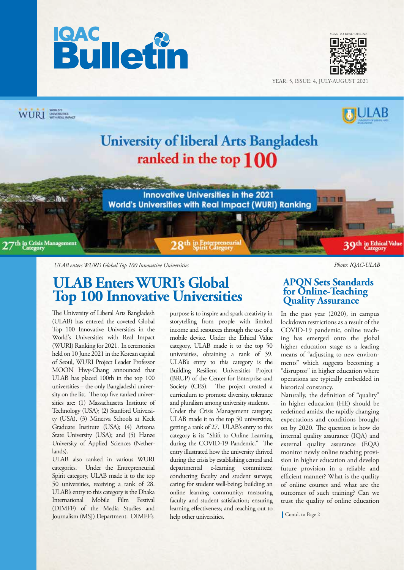



YEAR: 5, ISSUE: 4, JULY-AUGUST 2021



*ULAB enters WURI's Global Top 100 Innovative Universities Photo: IQAC-ULAB*

## **ULAB Enters WURI's Global Top 100 Innovative Universities**

The University of Liberal Arts Bangladesh (ULAB) has entered the coveted Global Top 100 Innovative Universities in the World's Universities with Real Impact (WURI) Ranking for 2021. In ceremonies held on 10 June 2021 in the Korean capital of Seoul, WURI Project Leader Professor MOON Hwy-Chang announced that ULAB has placed 100th in the top 100 universities – the only Bangladeshi university on the list. The top five ranked universities are: (1) Massachusetts Institute of Technology (USA); (2) Stanford University (USA), (3) Minerva Schools at Keck Graduate Institute (USA); (4) Arizona State University (USA); and (5) Hanze University of Applied Sciences (Netherlands).

ULAB also ranked in various WURI categories. Under the Entrepreneurial Spirit category, ULAB made it to the top 50 universities, receiving a rank of 28. ULAB's entry to this category is the Dhaka International Mobile Film Festival (DIMFF) of the Media Studies and Journalism (MSJ) Department. DIMFF's

purpose is to inspire and spark creativity in storytelling from people with limited income and resources through the use of a mobile device. Under the Ethical Value category, ULAB made it to the top 50 universities, obtaining a rank of 39. ULAB's entry to this category is the Building Resilient Universities Project (BRUP) of the Center for Enterprise and Society (CES). The project created a curriculum to promote diversity, tolerance and pluralism among university students.

Under the Crisis Management category, ULAB made it to the top 50 universities, getting a rank of 27. ULAB's entry to this category is its "Shift to Online Learning during the COVID-19 Pandemic." The entry illustrated how the university thrived during the crisis by establishing central and departmental e-learning committees; conducting faculty and student surveys; caring for student well-being; building an online learning community; measuring faculty and student satisfaction; ensuring learning effectiveness; and reaching out to help other universities.

#### **APQN Sets Standards for Online-Teaching Quality Assurance**

In the past year (2020), in campus lockdown restrictions as a result of the COVID-19 pandemic, online teaching has emerged onto the global higher education stage as a leading means of "adjusting to new environments" which suggests becoming a "disruptor" in higher education where operations are typically embedded in historical constancy.

Naturally, the definition of "quality" in higher education (HE) should be redefined amidst the rapidly changing expectations and conditions brought on by 2020. The question is how do internal quality assurance (IQA) and external quality assurance (EQA) monitor newly online teaching provision in higher education and develop future provision in a reliable and efficient manner? What is the quality of online courses and what are the outcomes of such training? Can we trust the quality of online education